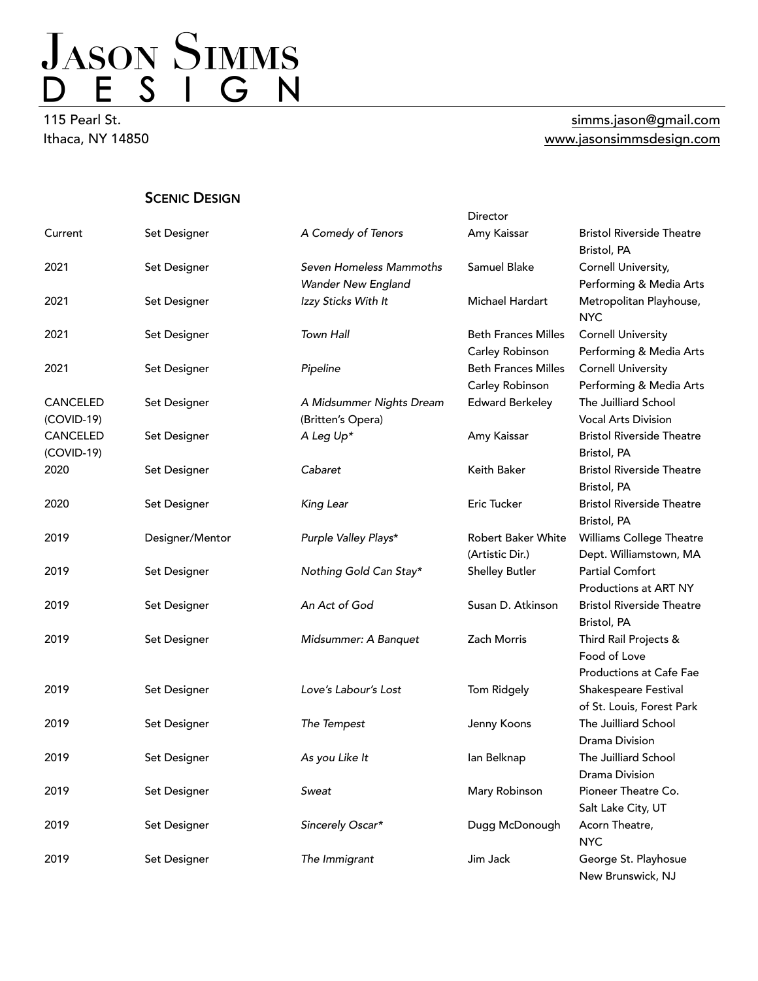115 Pearl St. Ithaca, NY 14850

#### [simms.jason@gmail.com](mailto:simms.jason@gmail.com) [www.jasonsimmsdesign.com](http://www.jasonsimmsdesign.com)

**SCENIC DESIGN** 

|                 |                 |                          | Director                   |                                       |
|-----------------|-----------------|--------------------------|----------------------------|---------------------------------------|
| Current         | Set Designer    | A Comedy of Tenors       | Amy Kaissar                | <b>Bristol Riverside Theatre</b>      |
|                 |                 |                          |                            | Bristol, PA                           |
| 2021            | Set Designer    | Seven Homeless Mammoths  | Samuel Blake               | Cornell University,                   |
|                 |                 | Wander New England       |                            | Performing & Media Arts               |
| 2021            | Set Designer    | Izzy Sticks With It      | Michael Hardart            | Metropolitan Playhouse,<br><b>NYC</b> |
| 2021            | Set Designer    | Town Hall                | <b>Beth Frances Milles</b> | <b>Cornell University</b>             |
|                 |                 |                          | Carley Robinson            | Performing & Media Arts               |
| 2021            | Set Designer    | Pipeline                 | <b>Beth Frances Milles</b> | <b>Cornell University</b>             |
|                 |                 |                          | Carley Robinson            | Performing & Media Arts               |
| CANCELED        | Set Designer    | A Midsummer Nights Dream | <b>Edward Berkeley</b>     | The Juilliard School                  |
| $(COVID-19)$    |                 | (Britten's Opera)        |                            | <b>Vocal Arts Division</b>            |
| <b>CANCELED</b> | Set Designer    | A Leg Up*                | Amy Kaissar                | <b>Bristol Riverside Theatre</b>      |
| (COVID-19)      |                 |                          |                            | Bristol, PA                           |
| 2020            | Set Designer    | Cabaret                  | Keith Baker                | <b>Bristol Riverside Theatre</b>      |
|                 |                 |                          |                            | Bristol, PA                           |
| 2020            | Set Designer    | King Lear                | Eric Tucker                | <b>Bristol Riverside Theatre</b>      |
|                 |                 |                          |                            | Bristol, PA                           |
| 2019            | Designer/Mentor | Purple Valley Plays*     | Robert Baker White         | Williams College Theatre              |
|                 |                 |                          | (Artistic Dir.)            | Dept. Williamstown, MA                |
| 2019            | Set Designer    | Nothing Gold Can Stay*   | <b>Shelley Butler</b>      | <b>Partial Comfort</b>                |
|                 |                 |                          |                            | Productions at ART NY                 |
| 2019            | Set Designer    | An Act of God            | Susan D. Atkinson          | <b>Bristol Riverside Theatre</b>      |
|                 |                 |                          |                            | Bristol, PA                           |
| 2019            | Set Designer    | Midsummer: A Banquet     | Zach Morris                | Third Rail Projects &                 |
|                 |                 |                          |                            | Food of Love                          |
|                 |                 |                          |                            | Productions at Cafe Fae               |
| 2019            | Set Designer    | Love's Labour's Lost     | Tom Ridgely                | Shakespeare Festival                  |
|                 |                 |                          |                            | of St. Louis, Forest Park             |
| 2019            | Set Designer    | The Tempest              | Jenny Koons                | The Juilliard School                  |
|                 |                 |                          |                            | <b>Drama Division</b>                 |
| 2019            | Set Designer    | As you Like It           | lan Belknap                | The Juilliard School                  |
|                 |                 |                          |                            | Drama Division                        |
| 2019            | Set Designer    | Sweat                    | Mary Robinson              | Pioneer Theatre Co.                   |
|                 |                 |                          |                            | Salt Lake City, UT                    |
| 2019            | Set Designer    | Sincerely Oscar*         | Dugg McDonough             | Acorn Theatre,                        |
|                 |                 |                          |                            | <b>NYC</b>                            |
| 2019            | Set Designer    | The Immigrant            | Jim Jack                   | George St. Playhosue                  |
|                 |                 |                          |                            | New Brunswick, NJ                     |
|                 |                 |                          |                            |                                       |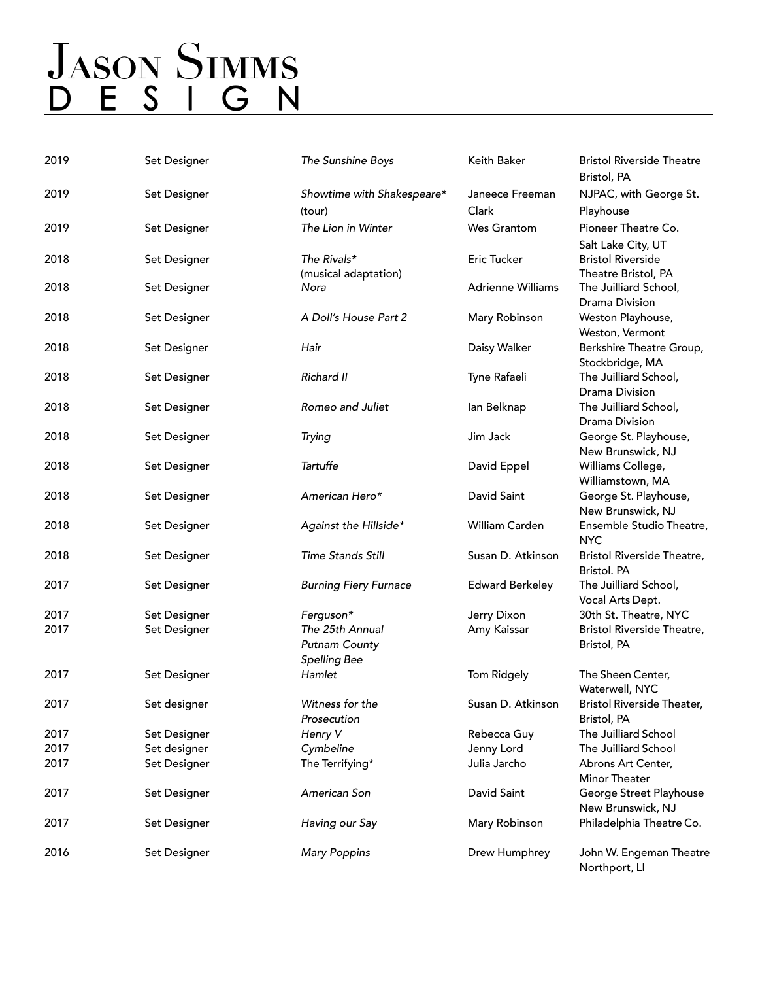# JASON SIMMS<br>D E S I G N

| 2019 | Set Designer | The Sunshine Boys                                       | Keith Baker              | <b>Bristol Riverside Theatre</b><br>Bristol, PA                       |
|------|--------------|---------------------------------------------------------|--------------------------|-----------------------------------------------------------------------|
| 2019 | Set Designer |                                                         | Janeece Freeman          | NJPAC, with George St.                                                |
|      |              | Showtime with Shakespeare*<br>(tour)                    | Clark                    | Playhouse                                                             |
| 2019 | Set Designer | The Lion in Winter                                      | <b>Wes Grantom</b>       | Pioneer Theatre Co.                                                   |
| 2018 | Set Designer | The Rivals*<br>(musical adaptation)                     | Eric Tucker              | Salt Lake City, UT<br><b>Bristol Riverside</b><br>Theatre Bristol, PA |
| 2018 | Set Designer | Nora                                                    | <b>Adrienne Williams</b> | The Juilliard School,<br><b>Drama Division</b>                        |
| 2018 | Set Designer | A Doll's House Part 2                                   | Mary Robinson            | Weston Playhouse,<br>Weston, Vermont                                  |
| 2018 | Set Designer | Hair                                                    | Daisy Walker             | Berkshire Theatre Group,<br>Stockbridge, MA                           |
| 2018 | Set Designer | Richard II                                              | Tyne Rafaeli             | The Juilliard School,<br>Drama Division                               |
| 2018 | Set Designer | Romeo and Juliet                                        | lan Belknap              | The Juilliard School,<br><b>Drama Division</b>                        |
| 2018 | Set Designer | Trying                                                  | Jim Jack                 | George St. Playhouse,<br>New Brunswick, NJ                            |
| 2018 | Set Designer | Tartuffe                                                | David Eppel              | Williams College,<br>Williamstown, MA                                 |
| 2018 | Set Designer | American Hero*                                          | David Saint              | George St. Playhouse,<br>New Brunswick, NJ                            |
| 2018 | Set Designer | Against the Hillside*                                   | William Carden           | Ensemble Studio Theatre,<br><b>NYC</b>                                |
| 2018 | Set Designer | <b>Time Stands Still</b>                                | Susan D. Atkinson        | Bristol Riverside Theatre,<br>Bristol. PA                             |
| 2017 | Set Designer | <b>Burning Fiery Furnace</b>                            | <b>Edward Berkeley</b>   | The Juilliard School,<br>Vocal Arts Dept.                             |
| 2017 | Set Designer | Ferguson*                                               | Jerry Dixon              | 30th St. Theatre, NYC                                                 |
| 2017 | Set Designer | The 25th Annual<br><b>Putnam County</b><br>Spelling Bee | Amy Kaissar              | Bristol Riverside Theatre,<br>Bristol, PA                             |
| 2017 | Set Designer | Hamlet                                                  | Tom Ridgely              | The Sheen Center,<br>Waterwell, NYC                                   |
| 2017 | Set designer | Witness for the<br>Prosecution                          | Susan D. Atkinson        | <b>Bristol Riverside Theater,</b><br>Bristol, PA                      |
| 2017 | Set Designer | Henry V                                                 | Rebecca Guy              | The Juilliard School                                                  |
| 2017 | Set designer | Cymbeline                                               | Jenny Lord               | The Juilliard School                                                  |
| 2017 | Set Designer | The Terrifying*                                         | Julia Jarcho             | Abrons Art Center,<br>Minor Theater                                   |
| 2017 | Set Designer | American Son                                            | David Saint              | George Street Playhouse<br>New Brunswick, NJ                          |
| 2017 | Set Designer | Having our Say                                          | Mary Robinson            | Philadelphia Theatre Co.                                              |
| 2016 | Set Designer | <b>Mary Poppins</b>                                     | Drew Humphrey            | John W. Engeman Theatre<br>Northport, LI                              |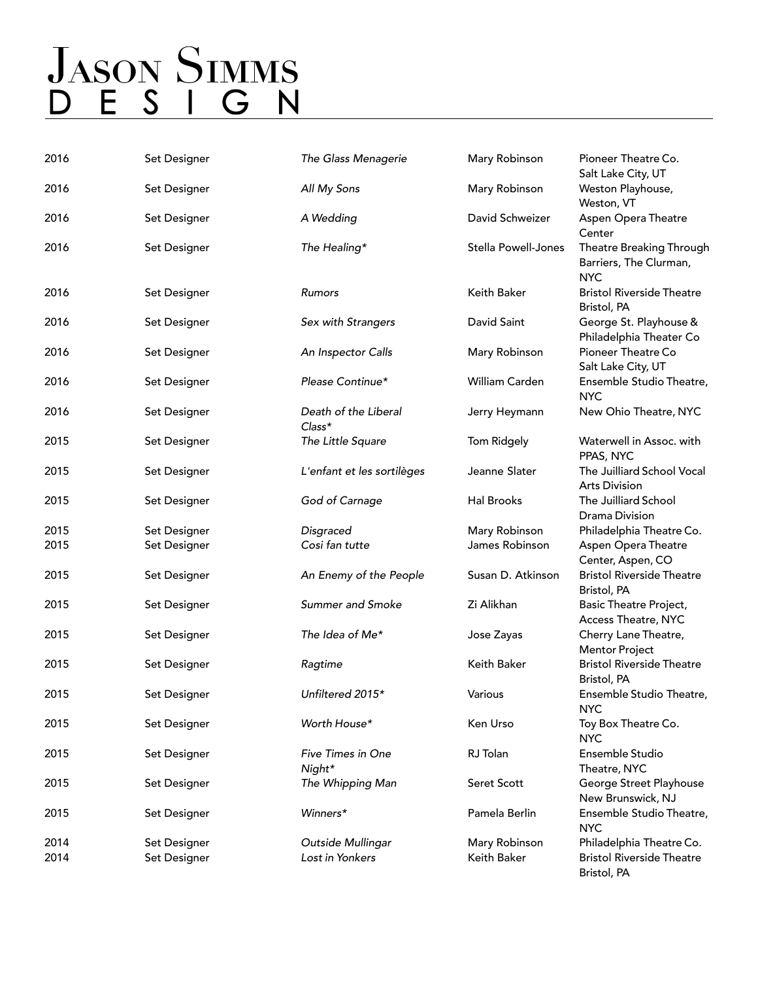| 2016 | Set Designer | The Glass Menagerie              | Mary Robinson       | Pioneer Theatre Co.<br>Salt Lake City, UT                        |
|------|--------------|----------------------------------|---------------------|------------------------------------------------------------------|
| 2016 | Set Designer | All My Sons                      | Mary Robinson       | Weston Playhouse,<br>Weston, VT                                  |
| 2016 | Set Designer | A Wedding                        | David Schweizer     | Aspen Opera Theatre<br>Center                                    |
| 2016 | Set Designer | The Healing*                     | Stella Powell-Jones | Theatre Breaking Through<br>Barriers, The Clurman,<br><b>NYC</b> |
| 2016 | Set Designer | Rumors                           | Keith Baker         | <b>Bristol Riverside Theatre</b><br>Bristol, PA                  |
| 2016 | Set Designer | Sex with Strangers               | David Saint         | George St. Playhouse &<br>Philadelphia Theater Co                |
| 2016 | Set Designer | An Inspector Calls               | Mary Robinson       | Pioneer Theatre Co<br>Salt Lake City, UT                         |
| 2016 | Set Designer | Please Continue*                 | William Carden      | Ensemble Studio Theatre,<br><b>NYC</b>                           |
| 2016 | Set Designer | Death of the Liberal<br>$Class*$ | Jerry Heymann       | New Ohio Theatre, NYC                                            |
| 2015 | Set Designer | The Little Square                | Tom Ridgely         | Waterwell in Assoc. with<br>PPAS, NYC                            |
| 2015 | Set Designer | L'enfant et les sortilèges       | Jeanne Slater       | The Juilliard School Vocal<br><b>Arts Division</b>               |
| 2015 | Set Designer | God of Carnage                   | Hal Brooks          | The Juilliard School<br>Drama Division                           |
| 2015 | Set Designer | Disgraced                        | Mary Robinson       | Philadelphia Theatre Co.                                         |
| 2015 | Set Designer | Cosi fan tutte                   | James Robinson      | Aspen Opera Theatre                                              |
|      |              |                                  |                     |                                                                  |
|      |              |                                  |                     | Center, Aspen, CO                                                |
| 2015 | Set Designer | An Enemy of the People           | Susan D. Atkinson   | <b>Bristol Riverside Theatre</b><br>Bristol, PA                  |
| 2015 | Set Designer | Summer and Smoke                 | Zi Alikhan          | Basic Theatre Project,<br>Access Theatre, NYC                    |
| 2015 | Set Designer | The Idea of Me*                  | Jose Zayas          | Cherry Lane Theatre,<br><b>Mentor Project</b>                    |
| 2015 | Set Designer | Ragtime                          | Keith Baker         | <b>Bristol Riverside Theatre</b><br>Bristol, PA                  |
| 2015 | Set Designer | Unfiltered 2015*                 | Various             | Ensemble Studio Theatre,<br><b>NYC</b>                           |
| 2015 | Set Designer | Worth House*                     | Ken Urso            | Toy Box Theatre Co.<br><b>NYC</b>                                |
| 2015 | Set Designer | Five Times in One<br>Night*      | RJ Tolan            | Ensemble Studio<br>Theatre, NYC                                  |
| 2015 | Set Designer | The Whipping Man                 | Seret Scott         | George Street Playhouse<br>New Brunswick, NJ                     |
| 2015 | Set Designer | Winners*                         | Pamela Berlin       | Ensemble Studio Theatre,<br><b>NYC</b>                           |
| 2014 | Set Designer | Outside Mullingar                | Mary Robinson       | Philadelphia Theatre Co.                                         |
| 2014 | Set Designer | Lost in Yonkers                  | Keith Baker         | <b>Bristol Riverside Theatre</b><br>Bristol, PA                  |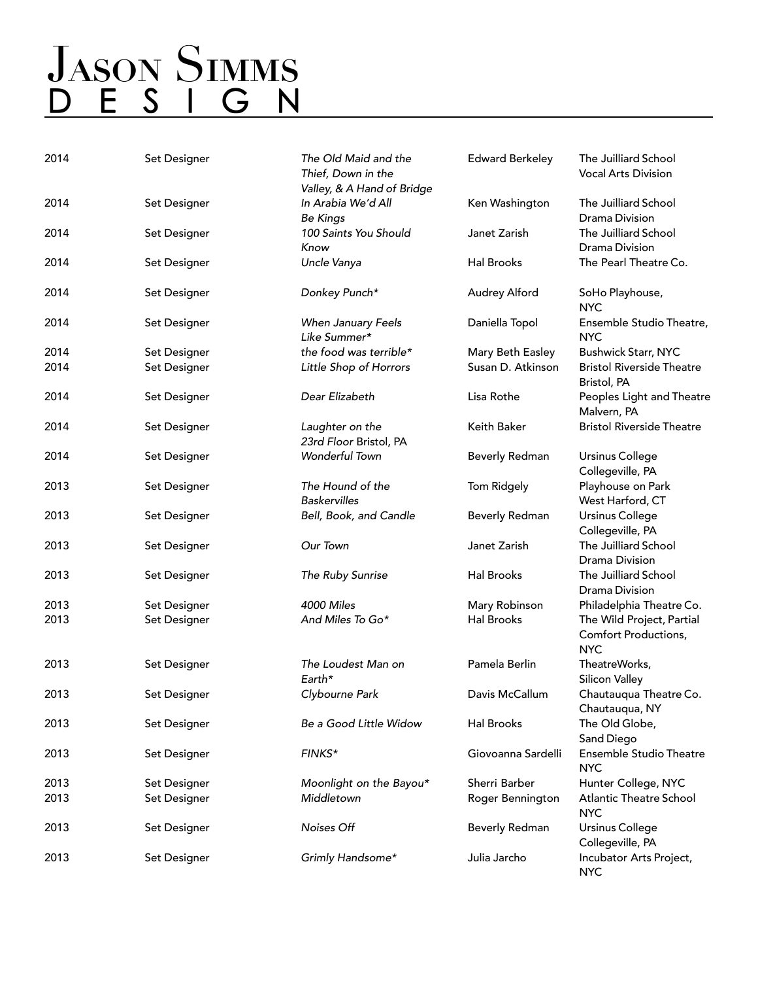| 2014 | Set Designer | The Old Maid and the<br>Thief, Down in the<br>Valley, & A Hand of Bridge | <b>Edward Berkeley</b> | The Juilliard School<br><b>Vocal Arts Division</b>              |
|------|--------------|--------------------------------------------------------------------------|------------------------|-----------------------------------------------------------------|
| 2014 | Set Designer | In Arabia We'd All<br><b>Be Kings</b>                                    | Ken Washington         | The Juilliard School<br>Drama Division                          |
| 2014 | Set Designer | 100 Saints You Should<br>Know                                            | Janet Zarish           | The Juilliard School<br>Drama Division                          |
| 2014 | Set Designer | Uncle Vanya                                                              | Hal Brooks             | The Pearl Theatre Co.                                           |
| 2014 | Set Designer | Donkey Punch*                                                            | Audrey Alford          | SoHo Playhouse,<br><b>NYC</b>                                   |
| 2014 | Set Designer | When January Feels<br>Like Summer*                                       | Daniella Topol         | Ensemble Studio Theatre,<br><b>NYC</b>                          |
| 2014 | Set Designer | the food was terrible*                                                   | Mary Beth Easley       | <b>Bushwick Starr, NYC</b>                                      |
| 2014 | Set Designer | Little Shop of Horrors                                                   | Susan D. Atkinson      | <b>Bristol Riverside Theatre</b><br>Bristol, PA                 |
| 2014 | Set Designer | Dear Elizabeth                                                           | Lisa Rothe             | Peoples Light and Theatre<br>Malvern, PA                        |
| 2014 | Set Designer | Laughter on the<br>23rd Floor Bristol, PA                                | Keith Baker            | <b>Bristol Riverside Theatre</b>                                |
| 2014 | Set Designer | Wonderful Town                                                           | Beverly Redman         | <b>Ursinus College</b><br>Collegeville, PA                      |
| 2013 | Set Designer | The Hound of the<br><b>Baskervilles</b>                                  | Tom Ridgely            | Playhouse on Park<br>West Harford, CT                           |
| 2013 | Set Designer | Bell, Book, and Candle                                                   | <b>Beverly Redman</b>  | <b>Ursinus College</b><br>Collegeville, PA                      |
| 2013 | Set Designer | Our Town                                                                 | Janet Zarish           | The Juilliard School<br>Drama Division                          |
| 2013 | Set Designer | The Ruby Sunrise                                                         | Hal Brooks             | The Juilliard School<br>Drama Division                          |
| 2013 | Set Designer | 4000 Miles                                                               | Mary Robinson          | Philadelphia Theatre Co.                                        |
| 2013 | Set Designer | And Miles To Go*                                                         | Hal Brooks             | The Wild Project, Partial<br>Comfort Productions,<br><b>NYC</b> |
| 2013 | Set Designer | The Loudest Man on<br>Earth*                                             | Pamela Berlin          | TheatreWorks,<br><b>Silicon Valley</b>                          |
| 2013 | Set Designer | Clybourne Park                                                           | Davis McCallum         | Chautauqua Theatre Co.<br>Chautauqua, NY                        |
| 2013 | Set Designer | Be a Good Little Widow                                                   | <b>Hal Brooks</b>      | The Old Globe,<br>Sand Diego                                    |
| 2013 | Set Designer | FINKS*                                                                   | Giovoanna Sardelli     | Ensemble Studio Theatre<br><b>NYC</b>                           |
| 2013 | Set Designer | Moonlight on the Bayou*                                                  | Sherri Barber          | Hunter College, NYC                                             |
| 2013 | Set Designer | Middletown                                                               | Roger Bennington       | <b>Atlantic Theatre School</b><br><b>NYC</b>                    |
| 2013 | Set Designer | Noises Off                                                               | <b>Beverly Redman</b>  | <b>Ursinus College</b><br>Collegeville, PA                      |
| 2013 | Set Designer | Grimly Handsome*                                                         | Julia Jarcho           | Incubator Arts Project,<br><b>NYC</b>                           |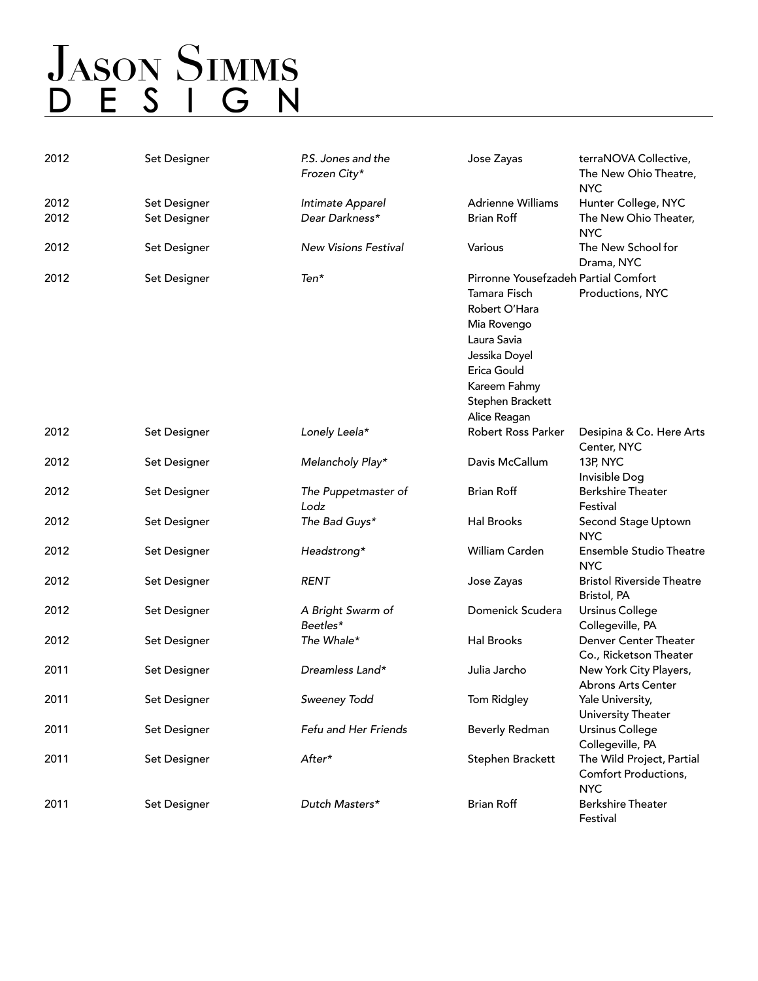### **JASON SIMMS** D E S I G N

| 2012 | Set Designer | P.S. Jones and the<br>Frozen City* | Jose Zayas                           | terraNOVA Collective,<br>The New Ohio Theatre,                  |
|------|--------------|------------------------------------|--------------------------------------|-----------------------------------------------------------------|
|      |              |                                    |                                      | <b>NYC</b>                                                      |
| 2012 | Set Designer | Intimate Apparel                   | <b>Adrienne Williams</b>             | Hunter College, NYC                                             |
| 2012 | Set Designer | Dear Darkness*                     | <b>Brian Roff</b>                    | The New Ohio Theater,<br><b>NYC</b>                             |
| 2012 | Set Designer | <b>New Visions Festival</b>        | Various                              | The New School for<br>Drama, NYC                                |
| 2012 | Set Designer | Ten*                               | Pirronne Yousefzadeh Partial Comfort |                                                                 |
|      |              |                                    | Tamara Fisch                         | Productions, NYC                                                |
|      |              |                                    | Robert O'Hara                        |                                                                 |
|      |              |                                    | Mia Rovengo                          |                                                                 |
|      |              |                                    | Laura Savia                          |                                                                 |
|      |              |                                    | Jessika Doyel                        |                                                                 |
|      |              |                                    | Erica Gould                          |                                                                 |
|      |              |                                    | Kareem Fahmy                         |                                                                 |
|      |              |                                    | Stephen Brackett                     |                                                                 |
|      |              |                                    | Alice Reagan                         |                                                                 |
| 2012 | Set Designer | Lonely Leela*                      | Robert Ross Parker                   | Desipina & Co. Here Arts<br>Center, NYC                         |
| 2012 | Set Designer | Melancholy Play*                   | Davis McCallum                       | 13P, NYC<br>Invisible Dog                                       |
| 2012 | Set Designer | The Puppetmaster of<br>Lodz        | <b>Brian Roff</b>                    | <b>Berkshire Theater</b><br>Festival                            |
| 2012 | Set Designer | The Bad Guys*                      | <b>Hal Brooks</b>                    | Second Stage Uptown<br><b>NYC</b>                               |
| 2012 | Set Designer | Headstrong*                        | William Carden                       | <b>Ensemble Studio Theatre</b><br><b>NYC</b>                    |
| 2012 | Set Designer | <b>RENT</b>                        | Jose Zayas                           | <b>Bristol Riverside Theatre</b><br>Bristol, PA                 |
| 2012 | Set Designer | A Bright Swarm of<br>Beetles*      | Domenick Scudera                     | <b>Ursinus College</b><br>Collegeville, PA                      |
| 2012 | Set Designer | The Whale*                         | <b>Hal Brooks</b>                    | Denver Center Theater<br>Co., Ricketson Theater                 |
| 2011 | Set Designer | Dreamless Land*                    | Julia Jarcho                         | New York City Players,<br>Abrons Arts Center                    |
| 2011 | Set Designer | Sweeney Todd                       | Tom Ridgley                          | Yale University,<br>University Theater                          |
| 2011 | Set Designer | Fefu and Her Friends               | Beverly Redman                       | <b>Ursinus College</b><br>Collegeville, PA                      |
| 2011 | Set Designer | After*                             | Stephen Brackett                     | The Wild Project, Partial<br>Comfort Productions,<br><b>NYC</b> |
| 2011 | Set Designer | Dutch Masters*                     | <b>Brian Roff</b>                    | <b>Berkshire Theater</b><br>Festival                            |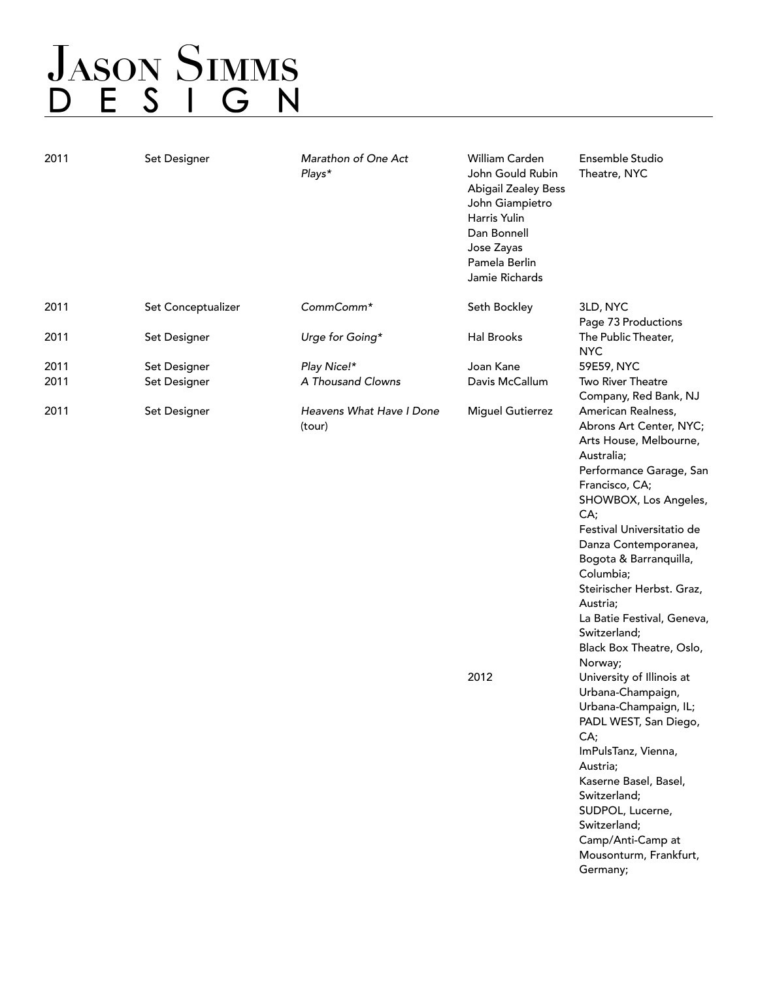## **JASON SIMMS** D E S I G N

| 2011 | Set Designer       | Marathon of One Act<br>Plays*      | William Carden<br>John Gould Rubin<br><b>Abigail Zealey Bess</b><br>John Giampietro<br>Harris Yulin<br>Dan Bonnell<br>Jose Zayas<br>Pamela Berlin<br>Jamie Richards | Ensemble Studio<br>Theatre, NYC                                                                                                                                                                                                                                                                                                                                                              |
|------|--------------------|------------------------------------|---------------------------------------------------------------------------------------------------------------------------------------------------------------------|----------------------------------------------------------------------------------------------------------------------------------------------------------------------------------------------------------------------------------------------------------------------------------------------------------------------------------------------------------------------------------------------|
| 2011 | Set Conceptualizer | CommComm*                          | Seth Bockley                                                                                                                                                        | 3LD, NYC<br>Page 73 Productions                                                                                                                                                                                                                                                                                                                                                              |
| 2011 | Set Designer       | Urge for Going*                    | Hal Brooks                                                                                                                                                          | The Public Theater,<br><b>NYC</b>                                                                                                                                                                                                                                                                                                                                                            |
| 2011 | Set Designer       | Play Nice!*                        | Joan Kane                                                                                                                                                           | 59E59, NYC                                                                                                                                                                                                                                                                                                                                                                                   |
| 2011 | Set Designer       | A Thousand Clowns                  | Davis McCallum                                                                                                                                                      | Two River Theatre<br>Company, Red Bank, NJ                                                                                                                                                                                                                                                                                                                                                   |
| 2011 | Set Designer       | Heavens What Have I Done<br>(tour) | <b>Miguel Gutierrez</b><br>2012                                                                                                                                     | American Realness,<br>Abrons Art Center, NYC;<br>Arts House, Melbourne,<br>Australia;<br>Performance Garage, San<br>Francisco, CA;<br>SHOWBOX, Los Angeles,<br>CA;<br>Festival Universitatio de<br>Danza Contemporanea,<br>Bogota & Barranquilla,<br>Columbia;<br>Steirischer Herbst. Graz,<br>Austria;<br>La Batie Festival, Geneva,<br>Switzerland;<br>Black Box Theatre, Oslo,<br>Norway; |
|      |                    |                                    |                                                                                                                                                                     | University of Illinois at<br>Urbana-Champaign,<br>Urbana-Champaign, IL;<br>PADL WEST, San Diego,<br>CA;<br>ImPulsTanz, Vienna,<br>Austria;<br>Kaserne Basel, Basel,<br>Switzerland;<br>SUDPOL, Lucerne,<br>Switzerland;<br>Camp/Anti-Camp at<br>Mousonturm, Frankfurt,<br>Germany;                                                                                                           |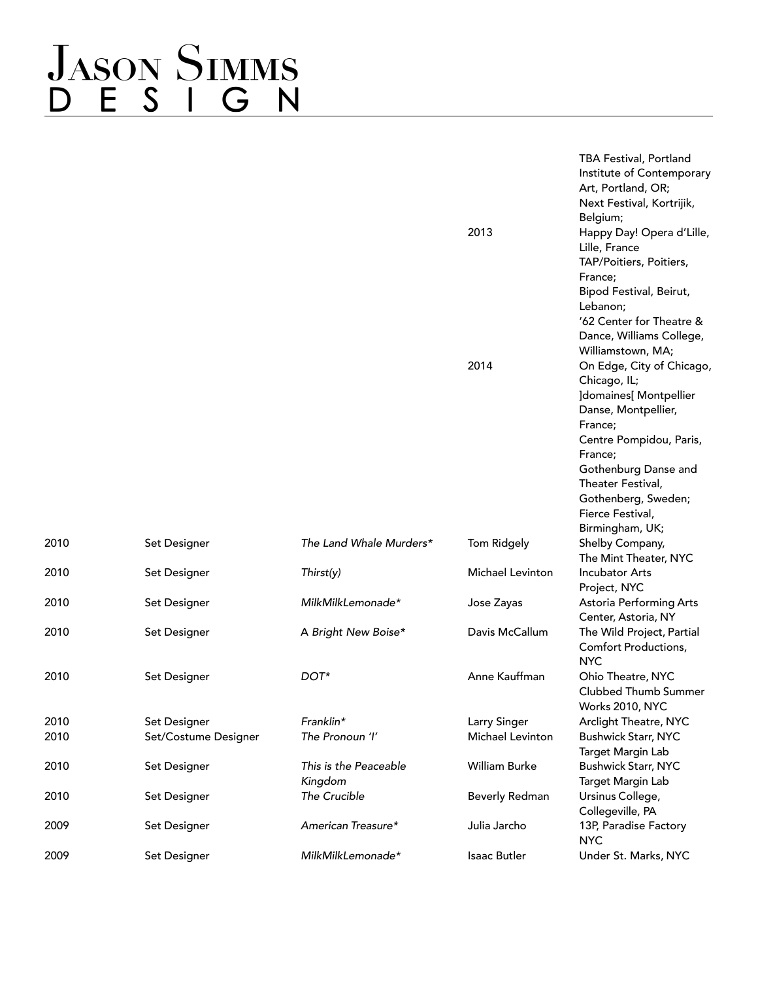# JASON SIMMS<br>D E S I G N

|                      |                                  | 2013                    | TBA Festival, Portland<br>Institute of Contemporary<br>Art, Portland, OR;<br>Next Festival, Kortrijik,<br>Belgium;<br>Happy Day! Opera d'Lille,<br>Lille, France<br>TAP/Poitiers, Poitiers,<br>France;<br>Bipod Festival, Beirut,<br>Lebanon;<br>'62 Center for Theatre &<br>Dance, Williams College,<br>Williamstown, MA; |
|----------------------|----------------------------------|-------------------------|----------------------------------------------------------------------------------------------------------------------------------------------------------------------------------------------------------------------------------------------------------------------------------------------------------------------------|
|                      |                                  | 2014                    | On Edge, City of Chicago,<br>Chicago, IL;<br><b>]domaines</b> [ Montpellier<br>Danse, Montpellier,<br>France;<br>Centre Pompidou, Paris,<br>France;<br>Gothenburg Danse and<br>Theater Festival,<br>Gothenberg, Sweden;<br>Fierce Festival,                                                                                |
| Set Designer         | The Land Whale Murders*          | Tom Ridgely             | Birmingham, UK;<br>Shelby Company,                                                                                                                                                                                                                                                                                         |
|                      |                                  |                         | The Mint Theater, NYC                                                                                                                                                                                                                                                                                                      |
| Set Designer         | Thirst(y)                        | <b>Michael Levinton</b> | <b>Incubator Arts</b><br>Project, NYC                                                                                                                                                                                                                                                                                      |
| Set Designer         | MilkMilkLemonade*                | Jose Zayas              | Astoria Performing Arts<br>Center, Astoria, NY                                                                                                                                                                                                                                                                             |
| Set Designer         | A Bright New Boise*              | Davis McCallum          | The Wild Project, Partial<br>Comfort Productions,<br><b>NYC</b>                                                                                                                                                                                                                                                            |
| Set Designer         | DOT*                             | Anne Kauffman           | Ohio Theatre, NYC<br>Clubbed Thumb Summer<br>Works 2010, NYC                                                                                                                                                                                                                                                               |
| Set Designer         | Franklin*                        | Larry Singer            | Arclight Theatre, NYC                                                                                                                                                                                                                                                                                                      |
| Set/Costume Designer | The Pronoun 'I'                  | Michael Levinton        | <b>Bushwick Starr, NYC</b><br>Target Margin Lab                                                                                                                                                                                                                                                                            |
| Set Designer         | This is the Peaceable<br>Kingdom | William Burke           | <b>Bushwick Starr, NYC</b><br>Target Margin Lab                                                                                                                                                                                                                                                                            |
| Set Designer         | The Crucible                     | <b>Beverly Redman</b>   | Ursinus College,<br>Collegeville, PA                                                                                                                                                                                                                                                                                       |
| Set Designer         | American Treasure*               | Julia Jarcho            | 13P, Paradise Factory<br><b>NYC</b>                                                                                                                                                                                                                                                                                        |
| Set Designer         | MilkMilkLemonade*                | Isaac Butler            | Under St. Marks, NYC                                                                                                                                                                                                                                                                                                       |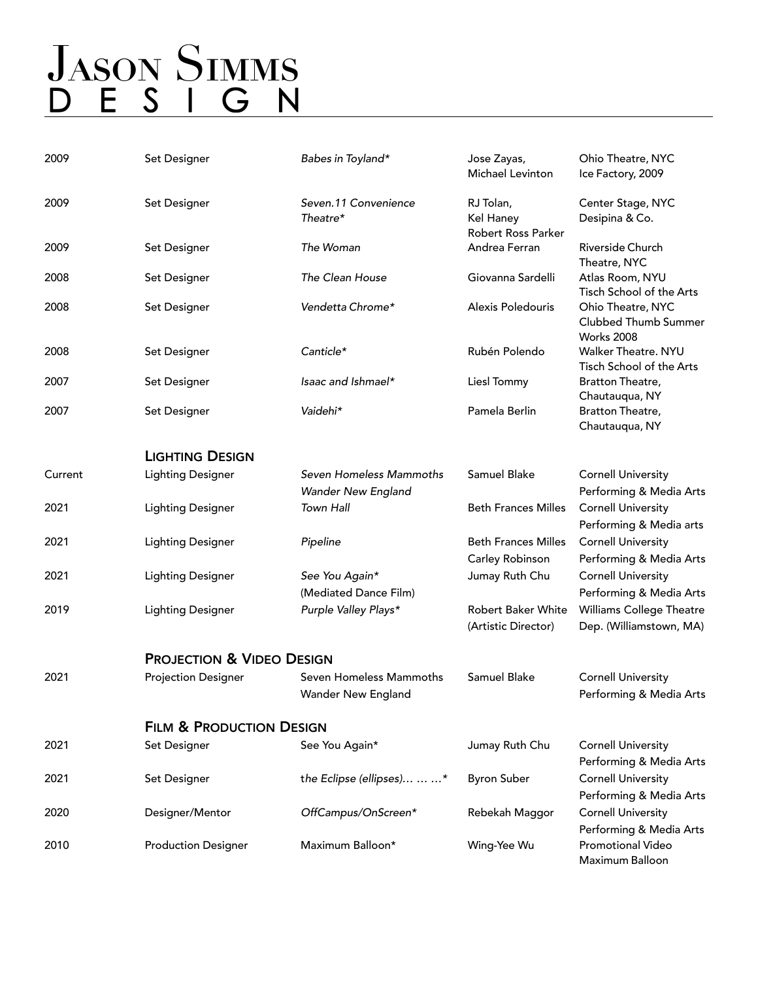## **JASON SIMMS** D E S I G N

| 2009    | Set Designer                         | Babes in Toyland*                             | Jose Zayas,<br>Michael Levinton               | Ohio Theatre, NYC<br>Ice Factory, 2009                                 |
|---------|--------------------------------------|-----------------------------------------------|-----------------------------------------------|------------------------------------------------------------------------|
| 2009    | Set Designer                         | Seven.11 Convenience<br>Theatre*              | RJ Tolan,<br>Kel Haney<br>Robert Ross Parker  | Center Stage, NYC<br>Desipina & Co.                                    |
| 2009    | Set Designer                         | The Woman                                     | Andrea Ferran                                 | Riverside Church<br>Theatre, NYC                                       |
| 2008    | Set Designer                         | The Clean House                               | Giovanna Sardelli                             | Atlas Room, NYU<br>Tisch School of the Arts                            |
| 2008    | Set Designer                         | Vendetta Chrome*                              | Alexis Poledouris                             | Ohio Theatre, NYC<br><b>Clubbed Thumb Summer</b><br><b>Works 2008</b>  |
| 2008    | Set Designer                         | Canticle*                                     | Rubén Polendo                                 | Walker Theatre. NYU<br>Tisch School of the Arts                        |
| 2007    | Set Designer                         | Isaac and Ishmael*                            | Liesl Tommy                                   | Bratton Theatre,<br>Chautauqua, NY                                     |
| 2007    | Set Designer                         | Vaidehi*                                      | Pamela Berlin                                 | Bratton Theatre,<br>Chautauqua, NY                                     |
|         | <b>LIGHTING DESIGN</b>               |                                               |                                               |                                                                        |
| Current | <b>Lighting Designer</b>             | Seven Homeless Mammoths<br>Wander New England | Samuel Blake                                  | <b>Cornell University</b><br>Performing & Media Arts                   |
| 2021    | <b>Lighting Designer</b>             | <b>Town Hall</b>                              | <b>Beth Frances Milles</b>                    | <b>Cornell University</b><br>Performing & Media arts                   |
| 2021    | <b>Lighting Designer</b>             | Pipeline                                      | <b>Beth Frances Milles</b><br>Carley Robinson | <b>Cornell University</b><br>Performing & Media Arts                   |
| 2021    | <b>Lighting Designer</b>             | See You Again*<br>(Mediated Dance Film)       | Jumay Ruth Chu                                | <b>Cornell University</b><br>Performing & Media Arts                   |
| 2019    | <b>Lighting Designer</b>             | Purple Valley Plays*                          | Robert Baker White<br>(Artistic Director)     | <b>Williams College Theatre</b><br>Dep. (Williamstown, MA)             |
|         | <b>PROJECTION &amp; VIDEO DESIGN</b> |                                               |                                               |                                                                        |
| 2021    | <b>Projection Designer</b>           | Seven Homeless Mammoths<br>Wander New England | Samuel Blake                                  | <b>Cornell University</b><br>Performing & Media Arts                   |
|         | <b>FILM &amp; PRODUCTION DESIGN</b>  |                                               |                                               |                                                                        |
| 2021    | Set Designer                         | See You Again*                                | Jumay Ruth Chu                                | <b>Cornell University</b><br>Performing & Media Arts                   |
| 2021    | Set Designer                         | the Eclipse (ellipses)  *                     | <b>Byron Suber</b>                            | <b>Cornell University</b><br>Performing & Media Arts                   |
| 2020    | Designer/Mentor                      | OffCampus/OnScreen*                           | Rebekah Maggor                                | <b>Cornell University</b>                                              |
| 2010    | <b>Production Designer</b>           | Maximum Balloon*                              | Wing-Yee Wu                                   | Performing & Media Arts<br><b>Promotional Video</b><br>Maximum Balloon |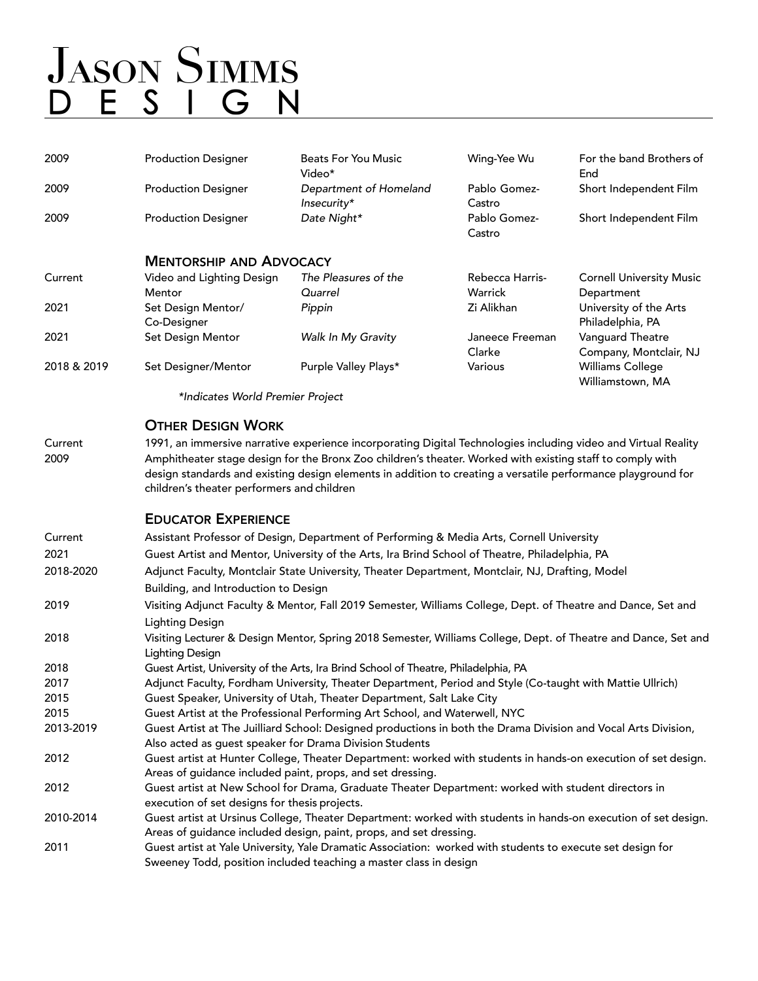| 2009        | <b>Production Designer</b>                                                                                                                                                                                                                                              | <b>Beats For You Music</b><br>Video*                                                                                                                                            | Wing-Yee Wu               | For the band Brothers of<br>End             |  |  |
|-------------|-------------------------------------------------------------------------------------------------------------------------------------------------------------------------------------------------------------------------------------------------------------------------|---------------------------------------------------------------------------------------------------------------------------------------------------------------------------------|---------------------------|---------------------------------------------|--|--|
| 2009        | <b>Production Designer</b>                                                                                                                                                                                                                                              | Department of Homeland<br>Insecurity*                                                                                                                                           | Pablo Gomez-<br>Castro    | Short Independent Film                      |  |  |
| 2009        | <b>Production Designer</b>                                                                                                                                                                                                                                              | Date Night*                                                                                                                                                                     | Pablo Gomez-<br>Castro    | Short Independent Film                      |  |  |
|             | <b>MENTORSHIP AND ADVOCACY</b>                                                                                                                                                                                                                                          |                                                                                                                                                                                 |                           |                                             |  |  |
| Current     | Video and Lighting Design                                                                                                                                                                                                                                               | The Pleasures of the                                                                                                                                                            | Rebecca Harris-           | <b>Cornell University Music</b>             |  |  |
|             | Mentor                                                                                                                                                                                                                                                                  | Quarrel                                                                                                                                                                         | Warrick                   | Department                                  |  |  |
| 2021        | Set Design Mentor/<br>Co-Designer                                                                                                                                                                                                                                       | Pippin                                                                                                                                                                          | Zi Alikhan                | University of the Arts<br>Philadelphia, PA  |  |  |
| 2021        | Set Design Mentor                                                                                                                                                                                                                                                       | Walk In My Gravity                                                                                                                                                              | Janeece Freeman<br>Clarke | Vanguard Theatre<br>Company, Montclair, NJ  |  |  |
| 2018 & 2019 | Set Designer/Mentor                                                                                                                                                                                                                                                     | Purple Valley Plays*                                                                                                                                                            | Various                   | <b>Williams College</b><br>Williamstown, MA |  |  |
|             | *Indicates World Premier Project                                                                                                                                                                                                                                        |                                                                                                                                                                                 |                           |                                             |  |  |
|             | <b>OTHER DESIGN WORK</b>                                                                                                                                                                                                                                                |                                                                                                                                                                                 |                           |                                             |  |  |
| Current     |                                                                                                                                                                                                                                                                         | 1991, an immersive narrative experience incorporating Digital Technologies including video and Virtual Reality                                                                  |                           |                                             |  |  |
| 2009        | Amphitheater stage design for the Bronx Zoo children's theater. Worked with existing staff to comply with<br>design standards and existing design elements in addition to creating a versatile performance playground for<br>children's theater performers and children |                                                                                                                                                                                 |                           |                                             |  |  |
|             | <b>EDUCATOR EXPERIENCE</b>                                                                                                                                                                                                                                              |                                                                                                                                                                                 |                           |                                             |  |  |
| Current     | Assistant Professor of Design, Department of Performing & Media Arts, Cornell University                                                                                                                                                                                |                                                                                                                                                                                 |                           |                                             |  |  |
| 2021        | Guest Artist and Mentor, University of the Arts, Ira Brind School of Theatre, Philadelphia, PA                                                                                                                                                                          |                                                                                                                                                                                 |                           |                                             |  |  |
| 2018-2020   | Adjunct Faculty, Montclair State University, Theater Department, Montclair, NJ, Drafting, Model                                                                                                                                                                         |                                                                                                                                                                                 |                           |                                             |  |  |
|             | Building, and Introduction to Design                                                                                                                                                                                                                                    |                                                                                                                                                                                 |                           |                                             |  |  |
| 2019        | Visiting Adjunct Faculty & Mentor, Fall 2019 Semester, Williams College, Dept. of Theatre and Dance, Set and                                                                                                                                                            |                                                                                                                                                                                 |                           |                                             |  |  |
|             | Lighting Design                                                                                                                                                                                                                                                         |                                                                                                                                                                                 |                           |                                             |  |  |
| 2018        | Visiting Lecturer & Design Mentor, Spring 2018 Semester, Williams College, Dept. of Theatre and Dance, Set and<br><b>Lighting Design</b>                                                                                                                                |                                                                                                                                                                                 |                           |                                             |  |  |
| 2018        |                                                                                                                                                                                                                                                                         | Guest Artist, University of the Arts, Ira Brind School of Theatre, Philadelphia, PA                                                                                             |                           |                                             |  |  |
| 2017        |                                                                                                                                                                                                                                                                         | Adjunct Faculty, Fordham University, Theater Department, Period and Style (Co-taught with Mattie Ullrich)                                                                       |                           |                                             |  |  |
| 2015        |                                                                                                                                                                                                                                                                         | Guest Speaker, University of Utah, Theater Department, Salt Lake City                                                                                                           |                           |                                             |  |  |
| 2015        |                                                                                                                                                                                                                                                                         | Guest Artist at the Professional Performing Art School, and Waterwell, NYC                                                                                                      |                           |                                             |  |  |
| 2013-2019   |                                                                                                                                                                                                                                                                         | Guest Artist at The Juilliard School: Designed productions in both the Drama Division and Vocal Arts Division,                                                                  |                           |                                             |  |  |
|             | Also acted as guest speaker for Drama Division Students                                                                                                                                                                                                                 |                                                                                                                                                                                 |                           |                                             |  |  |
| 2012        |                                                                                                                                                                                                                                                                         | Guest artist at Hunter College, Theater Department: worked with students in hands-on execution of set design.                                                                   |                           |                                             |  |  |
|             | Areas of guidance included paint, props, and set dressing.                                                                                                                                                                                                              |                                                                                                                                                                                 |                           |                                             |  |  |
| 2012        | execution of set designs for thesis projects.                                                                                                                                                                                                                           | Guest artist at New School for Drama, Graduate Theater Department: worked with student directors in                                                                             |                           |                                             |  |  |
| 2010-2014   |                                                                                                                                                                                                                                                                         | Guest artist at Ursinus College, Theater Department: worked with students in hands-on execution of set design.                                                                  |                           |                                             |  |  |
|             |                                                                                                                                                                                                                                                                         | Areas of guidance included design, paint, props, and set dressing.                                                                                                              |                           |                                             |  |  |
| 2011        |                                                                                                                                                                                                                                                                         | Guest artist at Yale University, Yale Dramatic Association: worked with students to execute set design for<br>Sweeney Todd, position included teaching a master class in design |                           |                                             |  |  |
|             |                                                                                                                                                                                                                                                                         |                                                                                                                                                                                 |                           |                                             |  |  |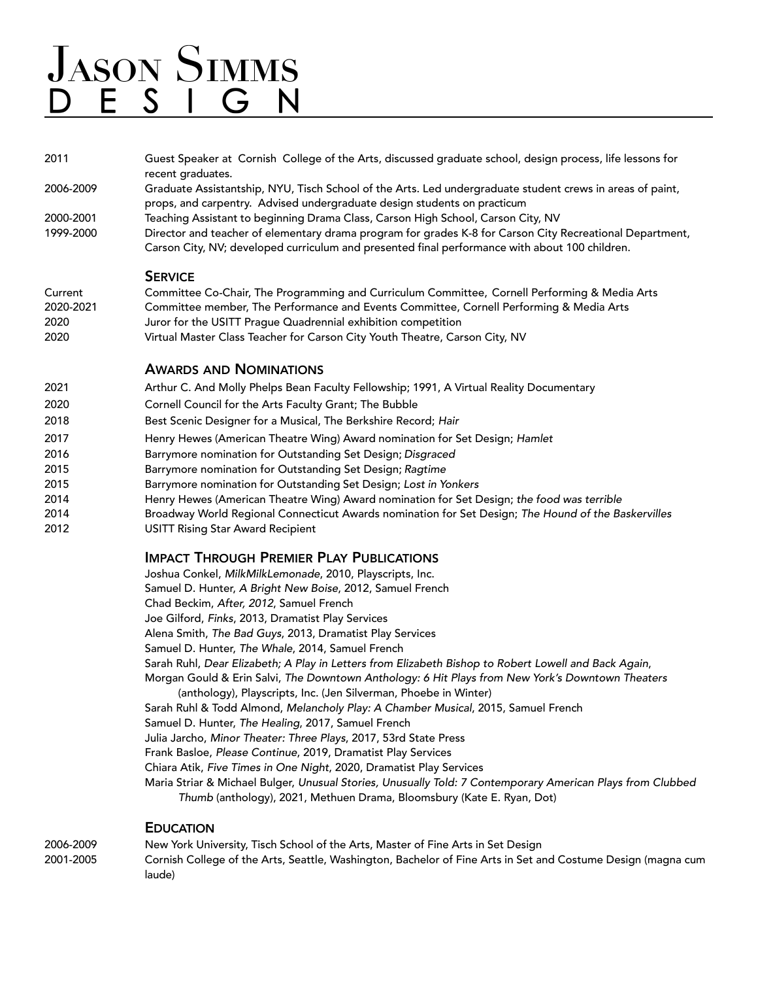| 2011      | Guest Speaker at Cornish College of the Arts, discussed graduate school, design process, life lessons for<br>recent graduates.                                                                             |
|-----------|------------------------------------------------------------------------------------------------------------------------------------------------------------------------------------------------------------|
| 2006-2009 | Graduate Assistantship, NYU, Tisch School of the Arts. Led undergraduate student crews in areas of paint,                                                                                                  |
|           | props, and carpentry. Advised undergraduate design students on practicum                                                                                                                                   |
| 2000-2001 | Teaching Assistant to beginning Drama Class, Carson High School, Carson City, NV                                                                                                                           |
| 1999-2000 | Director and teacher of elementary drama program for grades K-8 for Carson City Recreational Department,<br>Carson City, NV; developed curriculum and presented final performance with about 100 children. |
|           |                                                                                                                                                                                                            |

#### **SERVICE**

| Current   | Committee Co-Chair, The Programming and Curriculum Committee, Cornell Performing & Media Arts |
|-----------|-----------------------------------------------------------------------------------------------|
| 2020-2021 | Committee member, The Performance and Events Committee, Cornell Performing & Media Arts       |
| 2020      | Juror for the USITT Praque Quadrennial exhibition competition                                 |
| 2020      | Virtual Master Class Teacher for Carson City Youth Theatre, Carson City, NV                   |

#### AWARDS AND NOMINATIONS

| 2021 | Arthur C. And Molly Phelps Bean Faculty Fellowship; 1991, A Virtual Reality Documentary             |
|------|-----------------------------------------------------------------------------------------------------|
| 2020 | Cornell Council for the Arts Faculty Grant; The Bubble                                              |
| 2018 | Best Scenic Designer for a Musical, The Berkshire Record; Hair                                      |
| 2017 | Henry Hewes (American Theatre Wing) Award nomination for Set Design; Hamlet                         |
| 2016 | Barrymore nomination for Outstanding Set Design; Disgraced                                          |
| 2015 | Barrymore nomination for Outstanding Set Design; Ragtime                                            |
| 2015 | Barrymore nomination for Outstanding Set Design; Lost in Yonkers                                    |
| 2014 | Henry Hewes (American Theatre Wing) Award nomination for Set Design; the food was terrible          |
| 2014 | Broadway World Regional Connecticut Awards nomination for Set Design; The Hound of the Baskervilles |
|      |                                                                                                     |

2012 USITT Rising Star Award Recipient

#### IMPACT THROUGH PREMIER PLAY PUBLICATIONS

Joshua Conkel, *MilkMilkLemonade*, 2010, Playscripts, Inc. Samuel D. Hunter, *A Bright New Boise*, 2012, Samuel French Chad Beckim, *After, 2012*, Samuel French Joe Gilford, *Finks*, 2013, Dramatist Play Services Alena Smith, *The Bad Guys*, 2013, Dramatist Play Services Samuel D. Hunter, *The Whale*, 2014, Samuel French Sarah Ruhl, *Dear Elizabeth; A Play in Letters from Elizabeth Bishop to Robert Lowell and Back Again*, Morgan Gould & Erin Salvi, *The Downtown Anthology: 6 Hit Plays from New York's Downtown Theaters* (anthology), Playscripts, Inc. (Jen Silverman, Phoebe in Winter) Sarah Ruhl & Todd Almond, *Melancholy Play: A Chamber Musical*, 2015, Samuel French Samuel D. Hunter, *The Healing*, 2017, Samuel French Julia Jarcho, *Minor Theater: Three Plays*, 2017, 53rd State Press Frank Basloe, *Please Continue*, 2019, Dramatist Play Services Chiara Atik, *Five Times in One Night*, 2020, Dramatist Play Services Maria Striar & Michael Bulger, *Unusual Stories, Unusually Told: 7 Contemporary American Plays from Clubbed Thumb* (anthology), 2021, Methuen Drama, Bloomsbury (Kate E. Ryan, Dot)

#### **EDUCATION**

2006-2009 New York University, Tisch School of the Arts, Master of Fine Arts in Set Design 2001-2005 Cornish College of the Arts, Seattle, Washington, Bachelor of Fine Arts in Set and Costume Design (magna cum laude)